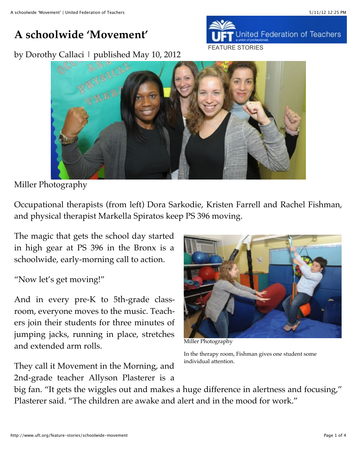## **A schoolwide 'Movement'**

by Dorothy Callaci | published May 10, 2012



## Miller Photography

Occupational therapists (from left) Dora Sarkodie, Kristen Farrell and Rachel Fishman, and physical therapist Markella Spiratos keep PS 396 moving.

The magic that gets the school day started in high gear at PS 396 in the Bronx is a schoolwide, early-morning call to action.

## "Now let's get moving!"

And in every pre-K to 5th-grade classroom, everyone moves to the music. Teachers join their students for three minutes of jumping jacks, running in place, stretches and extended arm rolls.

They call it Movement in the Morning, and 2nd-grade teacher Allyson Plasterer is a



Miller Photography

In the therapy room, Fishman gives one student some individual attention.

big fan. "It gets the wiggles out and makes a huge difference in alertness and focusing," Plasterer said. "The children are awake and alert and in the mood for work."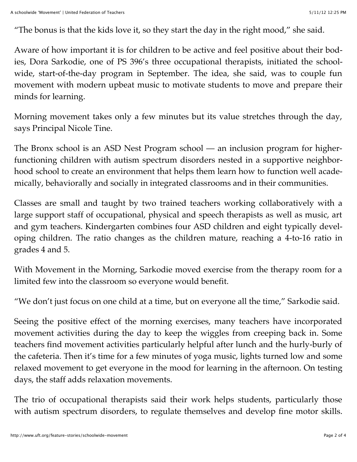"The bonus is that the kids love it, so they start the day in the right mood," she said.

Aware of how important it is for children to be active and feel positive about their bodies, Dora Sarkodie, one of PS 396's three occupational therapists, initiated the schoolwide, start-of-the-day program in September. The idea, she said, was to couple fun movement with modern upbeat music to motivate students to move and prepare their minds for learning.

Morning movement takes only a few minutes but its value stretches through the day, says Principal Nicole Tine.

The Bronx school is an ASD Nest Program school — an inclusion program for higherfunctioning children with autism spectrum disorders nested in a supportive neighborhood school to create an environment that helps them learn how to function well academically, behaviorally and socially in integrated classrooms and in their communities.

Classes are small and taught by two trained teachers working collaboratively with a large support staff of occupational, physical and speech therapists as well as music, art and gym teachers. Kindergarten combines four ASD children and eight typically developing children. The ratio changes as the children mature, reaching a 4-to-16 ratio in grades 4 and 5.

With Movement in the Morning, Sarkodie moved exercise from the therapy room for a limited few into the classroom so everyone would benefit.

"We don't just focus on one child at a time, but on everyone all the time," Sarkodie said.

Seeing the positive effect of the morning exercises, many teachers have incorporated movement activities during the day to keep the wiggles from creeping back in. Some teachers find movement activities particularly helpful after lunch and the hurly-burly of the cafeteria. Then it's time for a few minutes of yoga music, lights turned low and some relaxed movement to get everyone in the mood for learning in the afternoon. On testing days, the staff adds relaxation movements.

The trio of occupational therapists said their work helps students, particularly those with autism spectrum disorders, to regulate themselves and develop fine motor skills.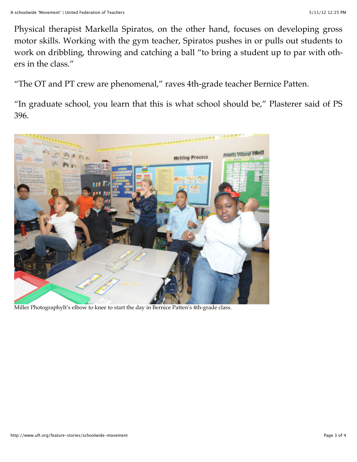Physical therapist Markella Spiratos, on the other hand, focuses on developing gross motor skills. Working with the gym teacher, Spiratos pushes in or pulls out students to work on dribbling, throwing and catching a ball "to bring a student up to par with others in the class."

"The OT and PT crew are phenomenal," raves 4th-grade teacher Bernice Patten.

"In graduate school, you learn that this is what school should be," Plasterer said of PS 396.



Miller PhotographyIt's elbow to knee to start the day in Bernice Patten's 4th-grade class.